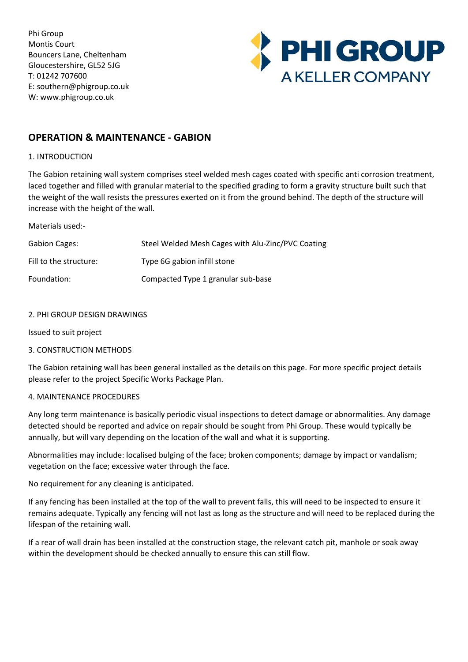Phi Group Montis Court Bouncers Lane, Cheltenham Gloucestershire, GL52 5JG T: 01242 707600 E: southern@phigroup.co.uk W: www.phigroup.co.uk



# **OPERATION & MAINTENANCE - GABION**

# 1. INTRODUCTION

The Gabion retaining wall system comprises steel welded mesh cages coated with specific anti corrosion treatment, laced together and filled with granular material to the specified grading to form a gravity structure built such that the weight of the wall resists the pressures exerted on it from the ground behind. The depth of the structure will increase with the height of the wall.

Materials used:-

| <b>Gabion Cages:</b>   | Steel Welded Mesh Cages with Alu-Zinc/PVC Coating |
|------------------------|---------------------------------------------------|
| Fill to the structure: | Type 6G gabion infill stone                       |
| Foundation:            | Compacted Type 1 granular sub-base                |

# 2. PHI GROUP DESIGN DRAWINGS

Issued to suit project

# 3. CONSTRUCTION METHODS

The Gabion retaining wall has been general installed as the details on this page. For more specific project details please refer to the project Specific Works Package Plan.

# 4. MAINTENANCE PROCEDURES

Any long term maintenance is basically periodic visual inspections to detect damage or abnormalities. Any damage detected should be reported and advice on repair should be sought from Phi Group. These would typically be annually, but will vary depending on the location of the wall and what it is supporting.

Abnormalities may include: localised bulging of the face; broken components; damage by impact or vandalism; vegetation on the face; excessive water through the face.

No requirement for any cleaning is anticipated.

If any fencing has been installed at the top of the wall to prevent falls, this will need to be inspected to ensure it remains adequate. Typically any fencing will not last as long as the structure and will need to be replaced during the lifespan of the retaining wall.

If a rear of wall drain has been installed at the construction stage, the relevant catch pit, manhole or soak away within the development should be checked annually to ensure this can still flow.